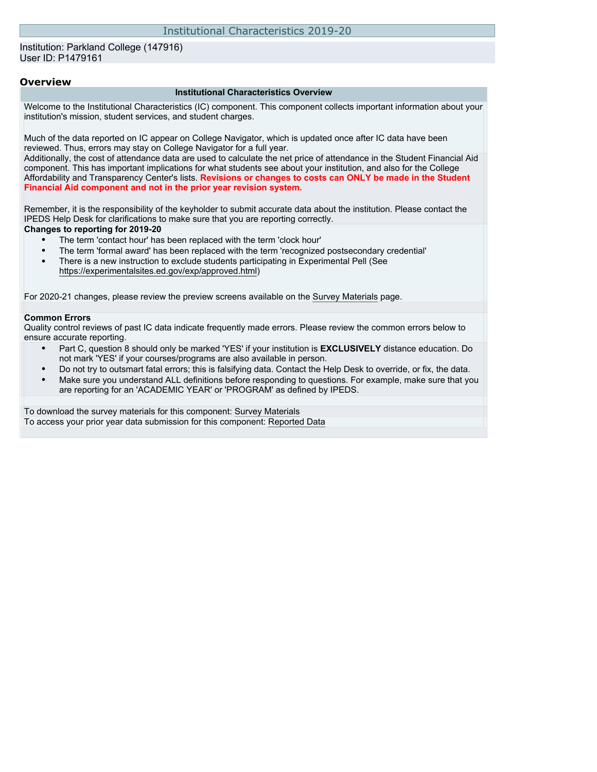Institution: Parkland College (147916) User ID: P1479161

#### **Overview**

#### **Institutional Characteristics Overview**

Welcome to the Institutional Characteristics (IC) component. This component collects important information about your institution's mission, student services, and student charges.

Much of the data reported on IC appear on College Navigator, which is updated once after IC data have been reviewed. Thus, errors may stay on College Navigator for a full year.

Additionally, the cost of attendance data are used to calculate the net price of attendance in the Student Financial Aid component. This has important implications for what students see about your institution, and also for the College Affordability and Transparency Center's lists. **Revisions or changes to costs can ONLY be made in the Student Financial Aid component and not in the prior year revision system.**

Remember, it is the responsibility of the keyholder to submit accurate data about the institution. Please contact the IPEDS Help Desk for clarifications to make sure that you are reporting correctly.

#### **Changes to reporting for 2019-20**

- The term 'contact hour' has been replaced with the term 'clock hour'
- The term 'formal award' has been replaced with the term 'recognized postsecondary credential'
- There is a new instruction to exclude students participating in Experimental Pell (See [https://experimentalsites.ed.gov/exp/approved.html\)](https://experimentalsites.ed.gov/exp/approved.html)

For 2020-21 changes, please review the preview screens available on the [Survey Materials](https://surveys.nces.ed.gov/ipeds/VisIndex.aspx) page.

#### **Common Errors**

Quality control reviews of past IC data indicate frequently made errors. Please review the common errors below to ensure accurate reporting.

- Part C, question 8 should only be marked 'YES' if your institution is **EXCLUSIVELY** distance education. Do not mark 'YES' if your courses/programs are also available in person.
- Do not try to outsmart fatal errors; this is falsifying data. Contact the Help Desk to override, or fix, the data.
- Make sure you understand ALL definitions before responding to questions. For example, make sure that you are reporting for an 'ACADEMIC YEAR' or 'PROGRAM' as defined by IPEDS.

To download the survey materials for this component: [Survey Materials](https://surveys.nces.ed.gov/ipeds/VisIndex.aspx) To access your prior year data submission for this component: [Reported Data](http://192.168.102.153/ipeds/PriorYearDataRedirect.aspx?survey_id=11)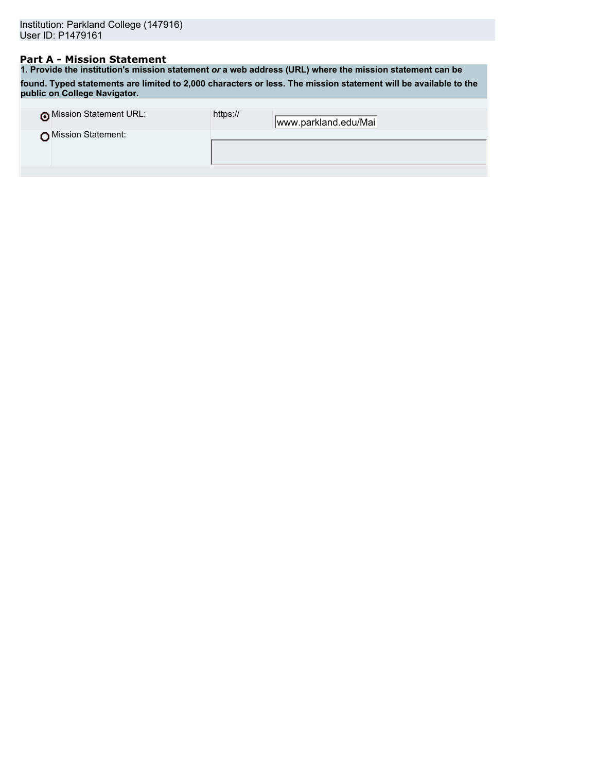## **Part A - Mission Statement**

**1. Provide the institution's mission statement** *or* **a web address (URL) where the mission statement can be found. Typed statements are limited to 2,000 characters or less. The mission statement will be available to the public on College Navigator.**

| o Mission Statement URL: | https:// | www.parkland.edu/Mai |
|--------------------------|----------|----------------------|
| Mission Statement:       |          |                      |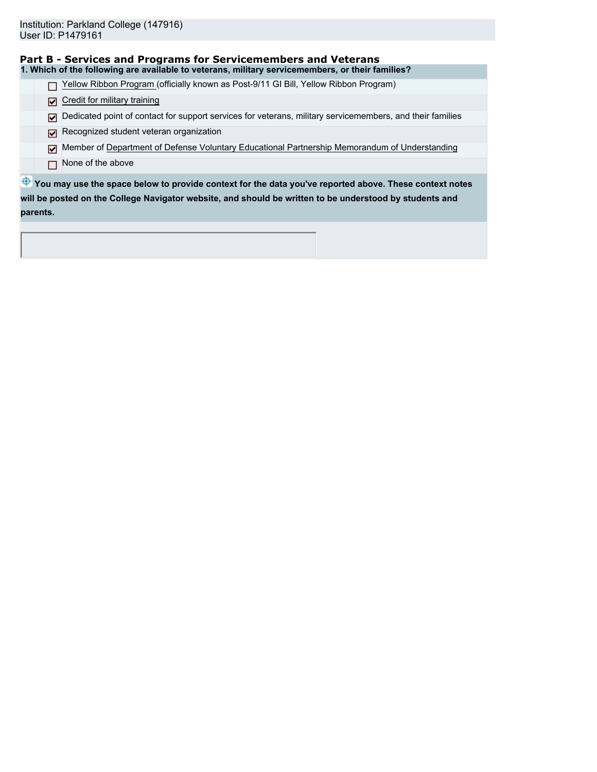|          | Part B - Services and Programs for Servicemembers and Veterans                                            |
|----------|-----------------------------------------------------------------------------------------------------------|
|          | 1. Which of the following are available to veterans, military servicemembers, or their families?          |
|          | Yellow Ribbon Program (officially known as Post-9/11 GI Bill, Yellow Ribbon Program)                      |
| М        | Credit for military training                                                                              |
| М        | Dedicated point of contact for support services for veterans, military servicemembers, and their families |
| ⊡        | Recognized student veteran organization                                                                   |
| ا⊽ا      | Member of Department of Defense Voluntary Educational Partnership Memorandum of Understanding             |
|          | None of the above                                                                                         |
|          | You may use the space below to provide context for the data you've reported above. These context notes    |
|          | will be posted on the College Navigator website, and should be written to be understood by students and   |
| parents. |                                                                                                           |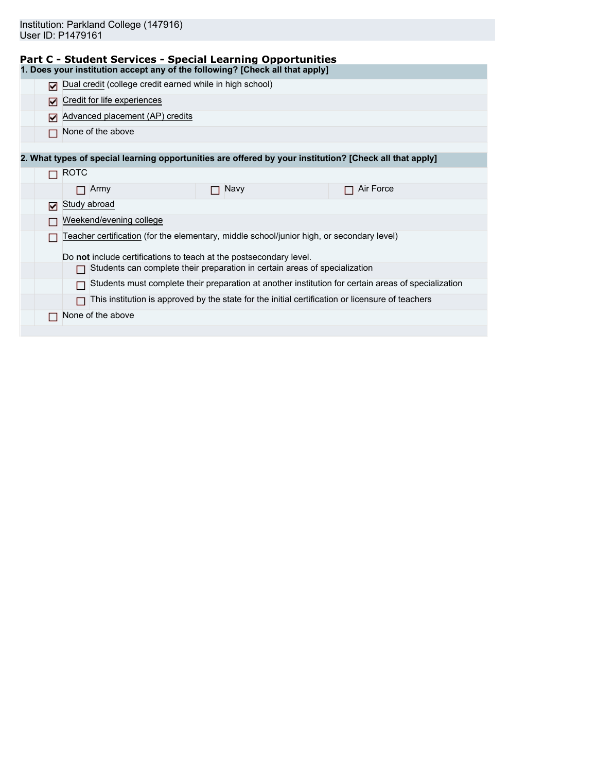|  |  |  | <b>Part C - Student Services - Special Learning Opportunities</b> |  |
|--|--|--|-------------------------------------------------------------------|--|
|  |  |  |                                                                   |  |

|   |                             |                                                          | 1. Does your institution accept any of the following? [Check all that apply]                            |                                                                                                     |
|---|-----------------------------|----------------------------------------------------------|---------------------------------------------------------------------------------------------------------|-----------------------------------------------------------------------------------------------------|
|   |                             | Dual credit (college credit earned while in high school) |                                                                                                         |                                                                                                     |
| М | Credit for life experiences |                                                          |                                                                                                         |                                                                                                     |
| М |                             | Advanced placement (AP) credits                          |                                                                                                         |                                                                                                     |
|   | None of the above           |                                                          |                                                                                                         |                                                                                                     |
|   |                             |                                                          |                                                                                                         |                                                                                                     |
|   |                             |                                                          | 2. What types of special learning opportunities are offered by your institution? [Check all that apply] |                                                                                                     |
|   | <b>ROTC</b>                 |                                                          |                                                                                                         |                                                                                                     |
|   | Army<br>П                   |                                                          | Navy                                                                                                    | Air Force<br>П                                                                                      |
| ⊓ | Study abroad                |                                                          |                                                                                                         |                                                                                                     |
|   | Weekend/evening college     |                                                          |                                                                                                         |                                                                                                     |
|   |                             |                                                          | Teacher certification (for the elementary, middle school/junior high, or secondary level)               |                                                                                                     |
|   |                             |                                                          | Do not include certifications to teach at the postsecondary level.                                      |                                                                                                     |
|   | П                           |                                                          | Students can complete their preparation in certain areas of specialization                              |                                                                                                     |
|   | П                           |                                                          |                                                                                                         | Students must complete their preparation at another institution for certain areas of specialization |
|   |                             |                                                          | This institution is approved by the state for the initial certification or licensure of teachers        |                                                                                                     |
|   | None of the above           |                                                          |                                                                                                         |                                                                                                     |
|   |                             |                                                          |                                                                                                         |                                                                                                     |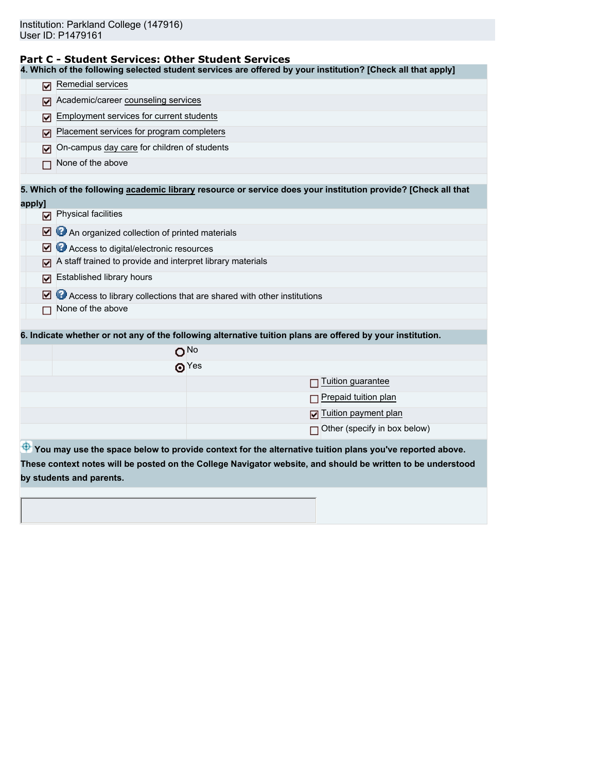### **Part C - Student Services: Other Student Services**

**4. Which of the following selected student services are offered by your institution? [Check all that apply]**

| м      | Remedial services                                                                                             |  |  |  |  |  |
|--------|---------------------------------------------------------------------------------------------------------------|--|--|--|--|--|
| м      | Academic/career counseling services                                                                           |  |  |  |  |  |
| ⊽      | Employment services for current students                                                                      |  |  |  |  |  |
| ☑      | Placement services for program completers                                                                     |  |  |  |  |  |
| ☑      | On-campus day care for children of students                                                                   |  |  |  |  |  |
|        | None of the above                                                                                             |  |  |  |  |  |
|        | 5. Which of the following academic library resource or service does your institution provide? [Check all that |  |  |  |  |  |
| apply] |                                                                                                               |  |  |  |  |  |
| ⊓      | <b>Physical facilities</b>                                                                                    |  |  |  |  |  |
| ☑      | An organized collection of printed materials                                                                  |  |  |  |  |  |
| м      | Access to digital/electronic resources                                                                        |  |  |  |  |  |
|        | A staff trained to provide and interpret library materials                                                    |  |  |  |  |  |
| ☑      | Established library hours                                                                                     |  |  |  |  |  |
| ☑      | Access to library collections that are shared with other institutions                                         |  |  |  |  |  |
|        | None of the above                                                                                             |  |  |  |  |  |
|        |                                                                                                               |  |  |  |  |  |
|        | 6. Indicate whether or not any of the following alternative tuition plans are offered by your institution.    |  |  |  |  |  |
|        | O <sub>No</sub>                                                                                               |  |  |  |  |  |
|        | $\odot$ Yes                                                                                                   |  |  |  |  |  |
|        | Tuition guarantee                                                                                             |  |  |  |  |  |
|        | Prepaid tuition plan                                                                                          |  |  |  |  |  |
|        | Tuition payment plan<br>М                                                                                     |  |  |  |  |  |
|        | Other (specify in box below)                                                                                  |  |  |  |  |  |
|        | You may use the space below to provide context for the alternative tuition plans you've reported above.       |  |  |  |  |  |
|        | These context notes will be posted on the College Navigator website, and should be written to be understood   |  |  |  |  |  |
|        | by students and parents.                                                                                      |  |  |  |  |  |
|        |                                                                                                               |  |  |  |  |  |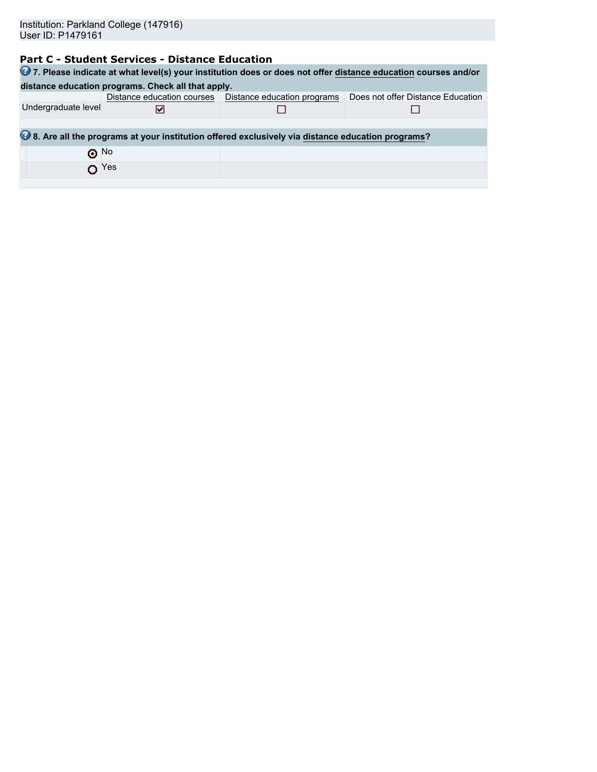# **Part C - Student Services - Distance Education**

|                     |                                                                                                  |                                                          | 27. Please indicate at what level(s) your institution does or does not offer distance education courses and/or |  |  |  |  |  |
|---------------------|--------------------------------------------------------------------------------------------------|----------------------------------------------------------|----------------------------------------------------------------------------------------------------------------|--|--|--|--|--|
|                     | distance education programs. Check all that apply.                                               |                                                          |                                                                                                                |  |  |  |  |  |
|                     |                                                                                                  | Distance education courses   Distance education programs | Does not offer Distance Education                                                                              |  |  |  |  |  |
| Undergraduate level | M                                                                                                |                                                          |                                                                                                                |  |  |  |  |  |
|                     |                                                                                                  |                                                          |                                                                                                                |  |  |  |  |  |
|                     | 8. Are all the programs at your institution offered exclusively via distance education programs? |                                                          |                                                                                                                |  |  |  |  |  |
| $\odot$ No          |                                                                                                  |                                                          |                                                                                                                |  |  |  |  |  |
| $\Omega$ Yes        |                                                                                                  |                                                          |                                                                                                                |  |  |  |  |  |
|                     |                                                                                                  |                                                          |                                                                                                                |  |  |  |  |  |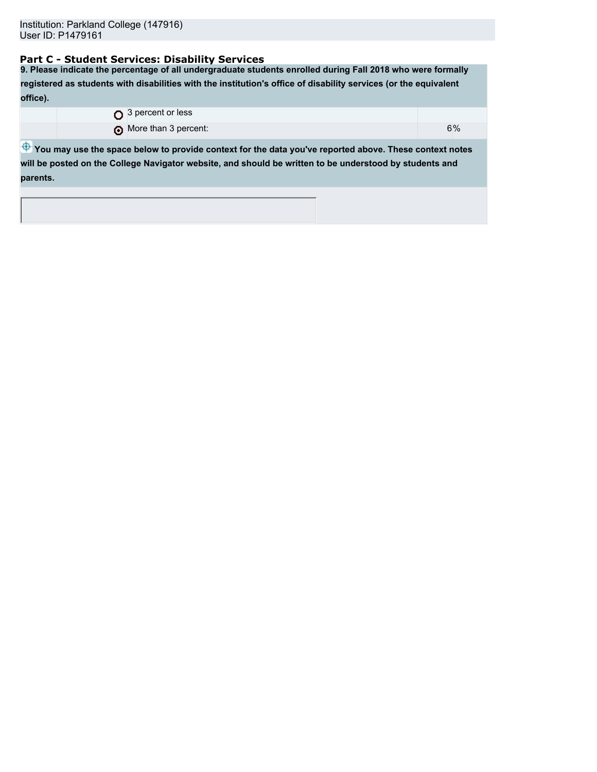# **Part C - Student Services: Disability Services**

**9. Please indicate the percentage of all undergraduate students enrolled during Fall 2018 who were formally registered as students with disabilities with the institution's office of disability services (or the equivalent office).** O 3 percent or less

**O** More than 3 percent: 6%

 $\bigoplus$  **You may use the space below to provide context for the data you've reported above. These context notes will be posted on the College Navigator website, and should be written to be understood by students and parents.**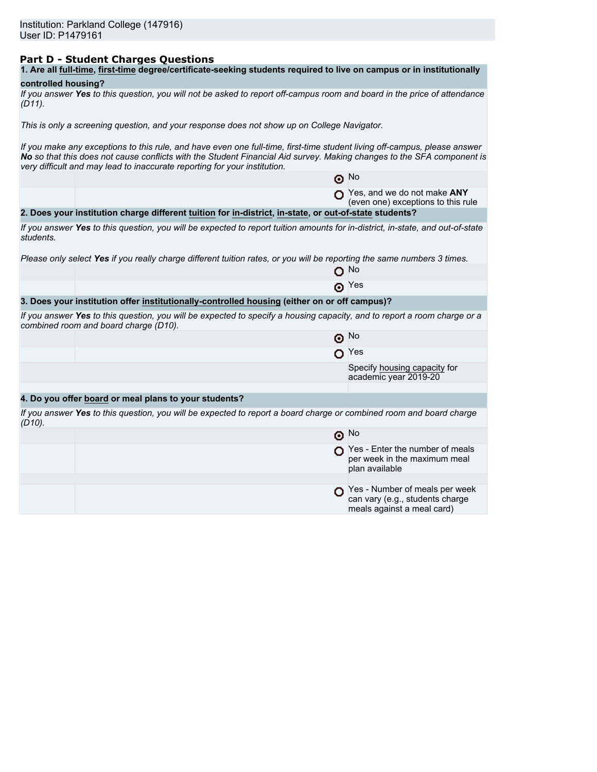# **Part D - Student Charges Questions**

# **controlled housing?**

*If you answer Yes to this question, you will not be asked to report off-campus room and board in the price of attendance (D11).*

*This is only a screening question, and your response does not show up on College Navigator.*

*If you make any exceptions to this rule, and have even one full-time, first-time student living off-campus, please answer No so that this does not cause conflicts with the Student Financial Aid survey. Making changes to the SFA component is very difficult and may lead to inaccurate reporting for your institution.*

|           |                                                                                                                                                                   | $\odot$ No                                                                                      |
|-----------|-------------------------------------------------------------------------------------------------------------------------------------------------------------------|-------------------------------------------------------------------------------------------------|
|           |                                                                                                                                                                   | Yes, and we do not make ANY<br>(even one) exceptions to this rule                               |
|           | 2. Does your institution charge different tuition for in-district, in-state, or out-of-state students?                                                            |                                                                                                 |
| students. | If you answer Yes to this question, you will be expected to report tuition amounts for in-district, in-state, and out-of-state                                    |                                                                                                 |
|           | Please only select Yes if you really charge different tuition rates, or you will be reporting the same numbers 3 times.                                           |                                                                                                 |
|           |                                                                                                                                                                   | ∩ No                                                                                            |
|           |                                                                                                                                                                   | $\odot$ Yes                                                                                     |
|           | 3. Does your institution offer institutionally-controlled housing (either on or off campus)?                                                                      |                                                                                                 |
|           | If you answer Yes to this question, you will be expected to specify a housing capacity, and to report a room charge or a<br>combined room and board charge (D10). |                                                                                                 |
|           |                                                                                                                                                                   | $\odot$ No                                                                                      |
|           |                                                                                                                                                                   | $O$ Yes                                                                                         |
|           |                                                                                                                                                                   | Specify housing capacity for<br>academic year 2019-20                                           |
|           |                                                                                                                                                                   |                                                                                                 |
|           | 4. Do you offer board or meal plans to your students?                                                                                                             |                                                                                                 |
| $(D10)$ . | If you answer Yes to this question, you will be expected to report a board charge or combined room and board charge                                               |                                                                                                 |
|           |                                                                                                                                                                   | $\odot$ No                                                                                      |
|           |                                                                                                                                                                   | Yes - Enter the number of meals<br>per week in the maximum meal<br>plan available               |
|           |                                                                                                                                                                   |                                                                                                 |
|           |                                                                                                                                                                   | Yes - Number of meals per week<br>can vary (e.g., students charge<br>meals against a meal card) |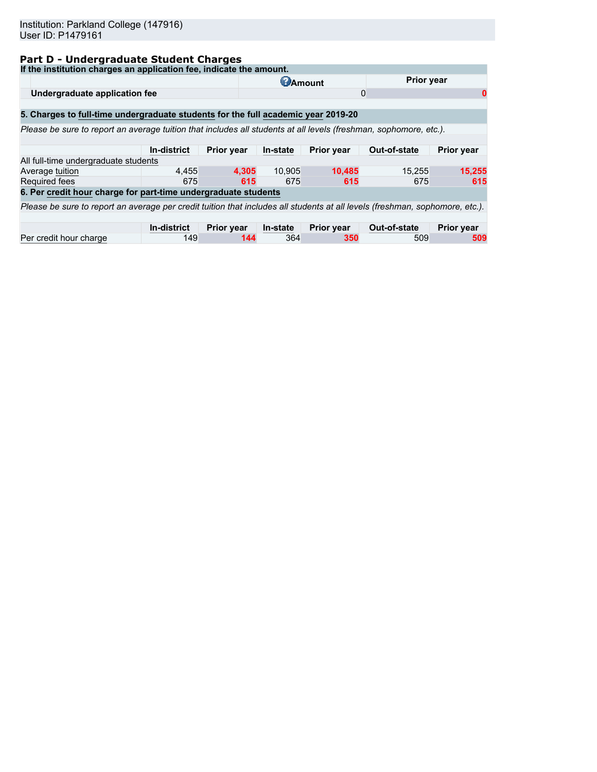# **Part D - Undergraduate Student Charges**

| If the institution charges an application fee, indicate the amount.                                                          |                    |                   |                 |                   |              |                   |
|------------------------------------------------------------------------------------------------------------------------------|--------------------|-------------------|-----------------|-------------------|--------------|-------------------|
|                                                                                                                              |                    |                   | <b>C</b> Amount |                   | Prior year   |                   |
| Undergraduate application fee                                                                                                |                    |                   |                 |                   | 0            | 0                 |
| 5. Charges to full-time undergraduate students for the full academic year 2019-20                                            |                    |                   |                 |                   |              |                   |
| Please be sure to report an average tuition that includes all students at all levels (freshman, sophomore, etc.).            |                    |                   |                 |                   |              |                   |
|                                                                                                                              |                    |                   |                 |                   |              |                   |
|                                                                                                                              | In-district        | <b>Prior year</b> | In-state        | Prior year        | Out-of-state | <b>Prior year</b> |
| All full-time undergraduate students                                                                                         |                    |                   |                 |                   |              |                   |
| Average tuition                                                                                                              | 4.455              | 4.305             | 10.905          | 10.485            | 15,255       | 15,255            |
| Required fees                                                                                                                | 675                | 615               | 675             | 615               | 675          | 615               |
| 6. Per credit hour charge for part-time undergraduate students                                                               |                    |                   |                 |                   |              |                   |
| Please be sure to report an average per credit tuition that includes all students at all levels (freshman, sophomore, etc.). |                    |                   |                 |                   |              |                   |
|                                                                                                                              |                    |                   |                 |                   |              |                   |
|                                                                                                                              | <b>In-district</b> | <b>Prior year</b> | In-state        | <b>Prior year</b> | Out-of-state | <b>Prior year</b> |
| Per credit hour charge                                                                                                       | 149                | 144               | 364             | 350               | 509          | 509               |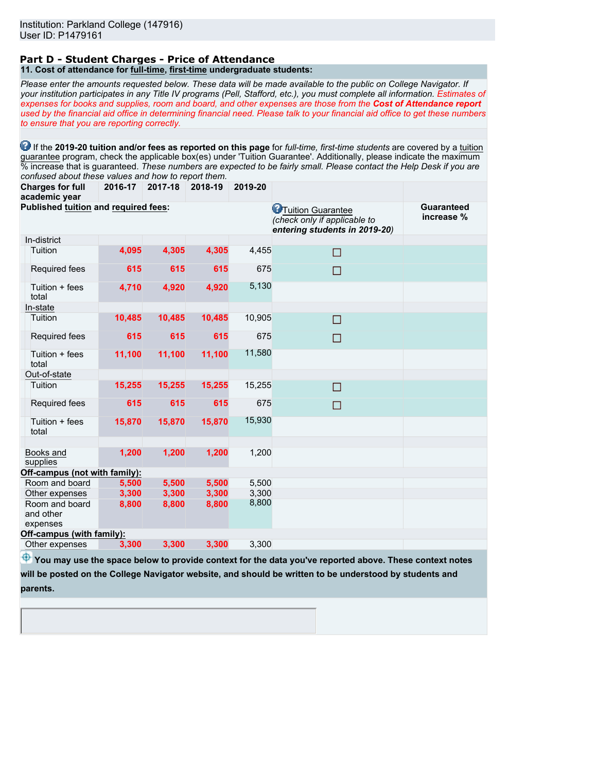#### **Part D - Student Charges - Price of Attendance 11. Cost of attendance for full-time, first-time undergraduate students:**

*Please enter the amounts requested below. These data will be made available to the public on College Navigator. If your institution participates in any Title IV programs (Pell, Stafford, etc.), you must complete all information. Estimates of expenses for books and supplies, room and board, and other expenses are those from the Cost of Attendance report used by the financial aid office in determining financial need. Please talk to your financial aid office to get these numbers to ensure that you are reporting correctly.*

**1** If the 2019-20 tuition and/or fees as reported on this page for *full-time, first-time students* are covered by a tuition guarantee program, check the applicable box(es) under 'Tuition Guarantee'. Additionally, please indicate the maximum % increase that is guaranteed. *These numbers are expected to be fairly small. Please contact the Help Desk if you are confused about these values and how to report them.*

**Charges for full 2016-17 2017-18 2018-19 2019-20**

| academic year                           |        |        |        |        |                                                                                             |                          |
|-----------------------------------------|--------|--------|--------|--------|---------------------------------------------------------------------------------------------|--------------------------|
| Published tuition and required fees:    |        |        |        |        | <b>O</b> Tuition Guarantee<br>(check only if applicable to<br>entering students in 2019-20) | Guaranteed<br>increase % |
| In-district                             |        |        |        |        |                                                                                             |                          |
| Tuition                                 | 4,095  | 4,305  | 4,305  | 4,455  | П                                                                                           |                          |
| Required fees                           | 615    | 615    | 615    | 675    | П                                                                                           |                          |
| Tuition + fees<br>total                 | 4,710  | 4,920  | 4,920  | 5,130  |                                                                                             |                          |
| In-state                                |        |        |        |        |                                                                                             |                          |
| Tuition                                 | 10,485 | 10,485 | 10,485 | 10,905 | □                                                                                           |                          |
| Required fees                           | 615    | 615    | 615    | 675    | П                                                                                           |                          |
| Tuition + fees<br>total                 | 11,100 | 11,100 | 11,100 | 11,580 |                                                                                             |                          |
| Out-of-state                            |        |        |        |        |                                                                                             |                          |
| Tuition                                 | 15,255 | 15,255 | 15,255 | 15,255 | П                                                                                           |                          |
| Required fees                           | 615    | 615    | 615    | 675    | П                                                                                           |                          |
| Tuition + fees<br>total                 | 15,870 | 15,870 | 15,870 | 15,930 |                                                                                             |                          |
|                                         |        |        |        |        |                                                                                             |                          |
| Books and<br>supplies                   | 1,200  | 1,200  | 1,200  | 1,200  |                                                                                             |                          |
| Off-campus (not with family):           |        |        |        |        |                                                                                             |                          |
| Room and board                          | 5,500  | 5,500  | 5,500  | 5,500  |                                                                                             |                          |
| Other expenses                          | 3,300  | 3,300  | 3,300  | 3,300  |                                                                                             |                          |
| Room and board<br>and other<br>expenses | 8,800  | 8,800  | 8,800  | 8,800  |                                                                                             |                          |
| Off-campus (with family):               |        |        |        |        |                                                                                             |                          |
| Other expenses                          | 3,300  | 3,300  | 3,300  | 3,300  |                                                                                             |                          |
|                                         |        |        |        |        |                                                                                             |                          |

 $\bigoplus$  **You may use the space below to provide context for the data you've reported above. These context notes will be posted on the College Navigator website, and should be written to be understood by students and**

**parents.**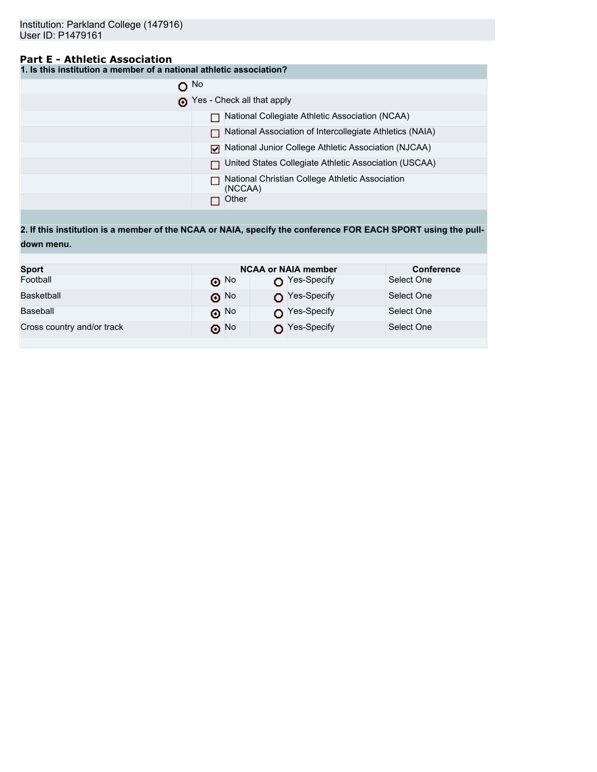# **Part E - Athletic Association**

**1. Is this institution a member of a national athletic association?**

|   | O No                                                       |
|---|------------------------------------------------------------|
| ۰ | Yes - Check all that apply                                 |
|   | National Collegiate Athletic Association (NCAA)            |
|   | National Association of Intercollegiate Athletics (NAIA)   |
|   | National Junior College Athletic Association (NJCAA)<br>м  |
|   | United States Collegiate Athletic Association (USCAA)      |
|   | National Christian College Athletic Association<br>(NCCAA) |
|   | Other                                                      |

**2. If this institution is a member of the NCAA or NAIA, specify the conference FOR EACH SPORT using the pulldown menu.**

| <b>Sport</b>               |            | <b>NCAA or NAIA member</b> |            |  |  |
|----------------------------|------------|----------------------------|------------|--|--|
| Football                   | $\odot$ No | $\bigcap$ Yes-Specify      | Select One |  |  |
| Basketball                 | $\odot$ No | Yes-Specify                | Select One |  |  |
| Baseball                   | $\odot$ No | $\bigcap$ Yes-Specify      | Select One |  |  |
| Cross country and/or track | ெ No       | Yes-Specify                | Select One |  |  |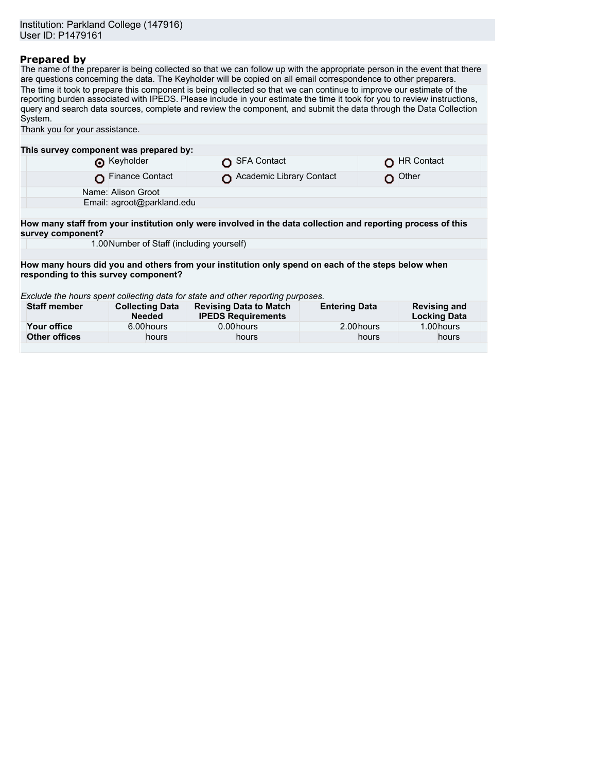# **Prepared by**

The name of the preparer is being collected so that we can follow up with the appropriate person in the event that there are questions concerning the data. The Keyholder will be copied on all email correspondence to other preparers. The time it took to prepare this component is being collected so that we can continue to improve our estimate of the reporting burden associated with IPEDS. Please include in your estimate the time it took for you to review instructions, query and search data sources, complete and review the component, and submit the data through the Data Collection System.

| Thank you for your assistance.                                                                                                    |                                         |                                                            |                      |                                            |  |  |  |  |  |
|-----------------------------------------------------------------------------------------------------------------------------------|-----------------------------------------|------------------------------------------------------------|----------------------|--------------------------------------------|--|--|--|--|--|
|                                                                                                                                   |                                         |                                                            |                      |                                            |  |  |  |  |  |
| This survey component was prepared by:                                                                                            |                                         |                                                            |                      |                                            |  |  |  |  |  |
|                                                                                                                                   | Reyholder                               | <b>SFA Contact</b>                                         |                      | <b>HR Contact</b>                          |  |  |  |  |  |
|                                                                                                                                   | <b>Finance Contact</b>                  | Academic Library Contact                                   |                      | Other                                      |  |  |  |  |  |
| Name: Alison Groot                                                                                                                |                                         |                                                            |                      |                                            |  |  |  |  |  |
| Email: agroot@parkland.edu                                                                                                        |                                         |                                                            |                      |                                            |  |  |  |  |  |
|                                                                                                                                   |                                         |                                                            |                      |                                            |  |  |  |  |  |
| How many staff from your institution only were involved in the data collection and reporting process of this<br>survey component? |                                         |                                                            |                      |                                            |  |  |  |  |  |
| 1.00 Number of Staff (including yourself)                                                                                         |                                         |                                                            |                      |                                            |  |  |  |  |  |
|                                                                                                                                   |                                         |                                                            |                      |                                            |  |  |  |  |  |
| How many hours did you and others from your institution only spend on each of the steps below when                                |                                         |                                                            |                      |                                            |  |  |  |  |  |
| responding to this survey component?                                                                                              |                                         |                                                            |                      |                                            |  |  |  |  |  |
|                                                                                                                                   |                                         |                                                            |                      |                                            |  |  |  |  |  |
| Exclude the hours spent collecting data for state and other reporting purposes.                                                   |                                         |                                                            |                      |                                            |  |  |  |  |  |
| <b>Staff member</b>                                                                                                               | <b>Collecting Data</b><br><b>Needed</b> | <b>Revising Data to Match</b><br><b>IPEDS Requirements</b> | <b>Entering Data</b> | <b>Revising and</b><br><b>Locking Data</b> |  |  |  |  |  |
| Your office                                                                                                                       | 6.00 hours                              | 0.00 hours                                                 | 2.00 hours           | 1.00 hours                                 |  |  |  |  |  |
| <b>Other offices</b>                                                                                                              | hours                                   | hours                                                      | hours                | hours                                      |  |  |  |  |  |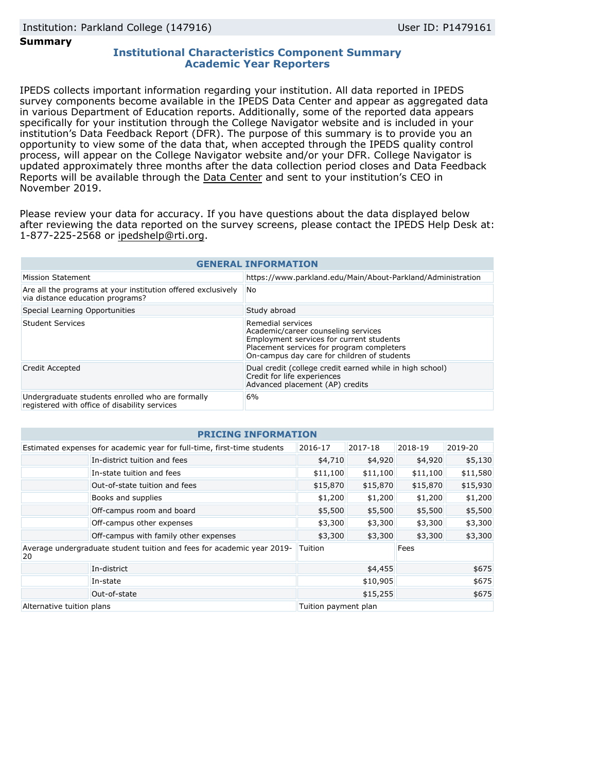## **Summary**

## **Institutional Characteristics Component Summary Academic Year Reporters**

IPEDS collects important information regarding your institution. All data reported in IPEDS survey components become available in the IPEDS Data Center and appear as aggregated data in various Department of Education reports. Additionally, some of the reported data appears specifically for your institution through the College Navigator website and is included in your institution's Data Feedback Report (DFR). The purpose of this summary is to provide you an opportunity to view some of the data that, when accepted through the IPEDS quality control process, will appear on the College Navigator website and/or your DFR. College Navigator is updated approximately three months after the data collection period closes and Data Feedback Reports will be available through the [Data Center](https://nces.ed.gov/ipeds/use-the-data) and sent to your institution's CEO in November 2019.

Please review your data for accuracy. If you have questions about the data displayed below after reviewing the data reported on the survey screens, please contact the IPEDS Help Desk at: 1-877-225-2568 or ipedshelp@rti.org.

| <b>GENERAL INFORMATION</b>                                                                        |                                                                                                                                                                                                  |  |  |  |  |
|---------------------------------------------------------------------------------------------------|--------------------------------------------------------------------------------------------------------------------------------------------------------------------------------------------------|--|--|--|--|
| Mission Statement                                                                                 | https://www.parkland.edu/Main/About-Parkland/Administration                                                                                                                                      |  |  |  |  |
| Are all the programs at your institution offered exclusively<br>via distance education programs?  | No.                                                                                                                                                                                              |  |  |  |  |
| Special Learning Opportunities                                                                    | Study abroad                                                                                                                                                                                     |  |  |  |  |
| Student Services                                                                                  | Remedial services<br>Academic/career counseling services<br>Employment services for current students<br>Placement services for program completers<br>On-campus day care for children of students |  |  |  |  |
| Credit Accepted                                                                                   | Dual credit (college credit earned while in high school)<br>Credit for life experiences<br>Advanced placement (AP) credits                                                                       |  |  |  |  |
| Undergraduate students enrolled who are formally<br>registered with office of disability services | 6%                                                                                                                                                                                               |  |  |  |  |

| <b>PRICING INFORMATION</b>                                                   |                                       |                      |          |          |          |  |  |  |
|------------------------------------------------------------------------------|---------------------------------------|----------------------|----------|----------|----------|--|--|--|
| Estimated expenses for academic year for full-time, first-time students      |                                       | 2016-17              | 2017-18  | 2018-19  | 2019-20  |  |  |  |
|                                                                              | In-district tuition and fees          | \$4,710              | \$4,920  | \$4,920  | \$5,130  |  |  |  |
|                                                                              | In-state tuition and fees             | \$11,100             | \$11,100 | \$11,100 | \$11,580 |  |  |  |
|                                                                              | Out-of-state tuition and fees         | \$15,870             | \$15,870 | \$15,870 | \$15,930 |  |  |  |
|                                                                              | Books and supplies                    | \$1,200              | \$1,200  | \$1,200  | \$1,200  |  |  |  |
|                                                                              | Off-campus room and board             | \$5,500              | \$5,500  | \$5,500  | \$5,500  |  |  |  |
|                                                                              | Off-campus other expenses             | \$3,300              | \$3,300  | \$3,300  | \$3,300  |  |  |  |
|                                                                              | Off-campus with family other expenses | \$3,300              | \$3,300  | \$3,300  | \$3,300  |  |  |  |
| Average undergraduate student tuition and fees for academic year 2019-<br>20 |                                       | Tuition              |          | Fees     |          |  |  |  |
|                                                                              | In-district                           | \$4,455              |          | \$675    |          |  |  |  |
|                                                                              | In-state                              | \$10,905             |          | \$675    |          |  |  |  |
|                                                                              | Out-of-state                          | \$15,255             |          | \$675    |          |  |  |  |
| Alternative tuition plans                                                    |                                       | Tuition payment plan |          |          |          |  |  |  |